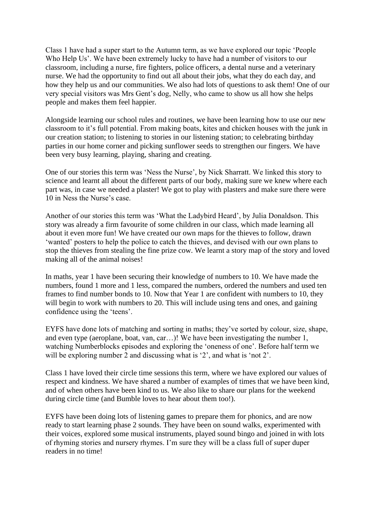Class 1 have had a super start to the Autumn term, as we have explored our topic 'People Who Help Us'. We have been extremely lucky to have had a number of visitors to our classroom, including a nurse, fire fighters, police officers, a dental nurse and a veterinary nurse. We had the opportunity to find out all about their jobs, what they do each day, and how they help us and our communities. We also had lots of questions to ask them! One of our very special visitors was Mrs Gent's dog, Nelly, who came to show us all how she helps people and makes them feel happier.

Alongside learning our school rules and routines, we have been learning how to use our new classroom to it's full potential. From making boats, kites and chicken houses with the junk in our creation station; to listening to stories in our listening station; to celebrating birthday parties in our home corner and picking sunflower seeds to strengthen our fingers. We have been very busy learning, playing, sharing and creating.

One of our stories this term was 'Ness the Nurse', by Nick Sharratt. We linked this story to science and learnt all about the different parts of our body, making sure we knew where each part was, in case we needed a plaster! We got to play with plasters and make sure there were 10 in Ness the Nurse's case.

Another of our stories this term was 'What the Ladybird Heard', by Julia Donaldson. This story was already a firm favourite of some children in our class, which made learning all about it even more fun! We have created our own maps for the thieves to follow, drawn 'wanted' posters to help the police to catch the thieves, and devised with our own plans to stop the thieves from stealing the fine prize cow. We learnt a story map of the story and loved making all of the animal noises!

In maths, year 1 have been securing their knowledge of numbers to 10. We have made the numbers, found 1 more and 1 less, compared the numbers, ordered the numbers and used ten frames to find number bonds to 10. Now that Year 1 are confident with numbers to 10, they will begin to work with numbers to 20. This will include using tens and ones, and gaining confidence using the 'teens'.

EYFS have done lots of matching and sorting in maths; they've sorted by colour, size, shape, and even type (aeroplane, boat, van, car…)! We have been investigating the number 1, watching Numberblocks episodes and exploring the 'oneness of one'. Before half term we will be exploring number 2 and discussing what is '2', and what is 'not 2'.

Class 1 have loved their circle time sessions this term, where we have explored our values of respect and kindness. We have shared a number of examples of times that we have been kind, and of when others have been kind to us. We also like to share our plans for the weekend during circle time (and Bumble loves to hear about them too!).

EYFS have been doing lots of listening games to prepare them for phonics, and are now ready to start learning phase 2 sounds. They have been on sound walks, experimented with their voices, explored some musical instruments, played sound bingo and joined in with lots of rhyming stories and nursery rhymes. I'm sure they will be a class full of super duper readers in no time!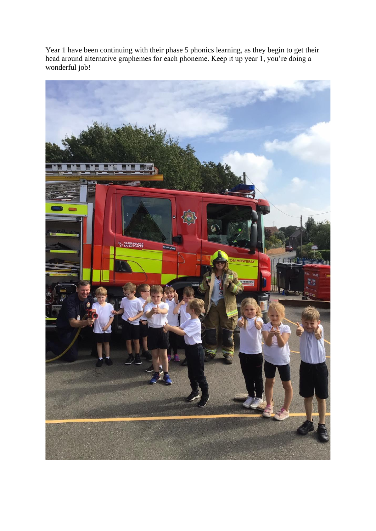Year 1 have been continuing with their phase 5 phonics learning, as they begin to get their head around alternative graphemes for each phoneme. Keep it up year 1, you're doing a wonderful job!

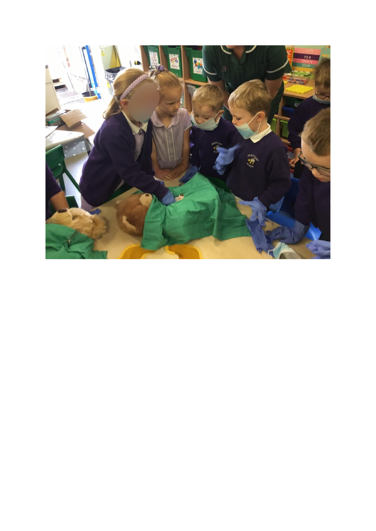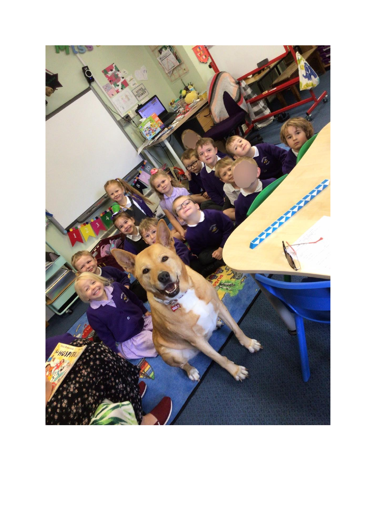